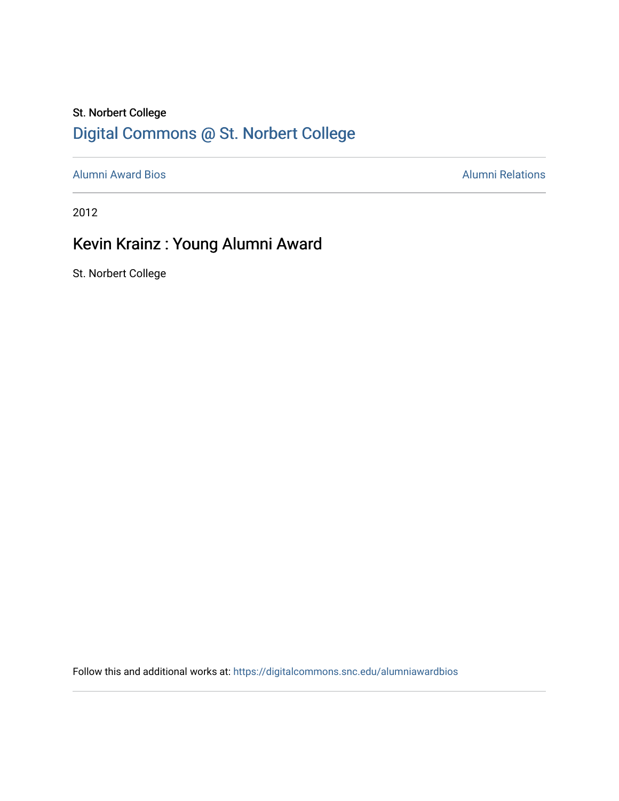#### St. Norbert College [Digital Commons @ St. Norbert College](https://digitalcommons.snc.edu/)

[Alumni Award Bios](https://digitalcommons.snc.edu/alumniawardbios) **Alumni Relations** Alumni Relations

2012

## Kevin Krainz : Young Alumni Award

St. Norbert College

Follow this and additional works at: [https://digitalcommons.snc.edu/alumniawardbios](https://digitalcommons.snc.edu/alumniawardbios?utm_source=digitalcommons.snc.edu%2Falumniawardbios%2F57&utm_medium=PDF&utm_campaign=PDFCoverPages)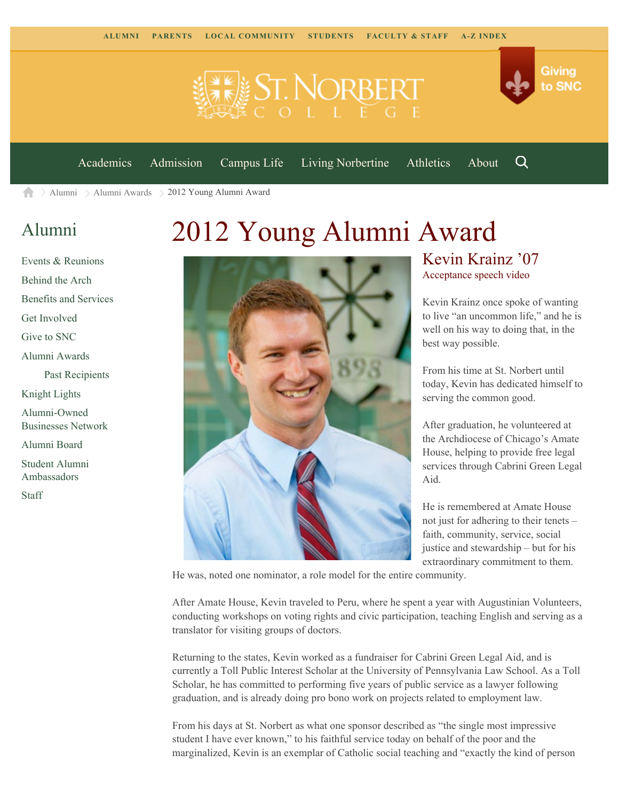



[Academics](https://www.snc.edu/academics) [Admission](https://www.snc.edu/admission) [Campus Life](https://www.snc.edu/campuslife) [Living Norbertine](https://www.snc.edu/livingnorbertine) [Athletics](https://www.snc.edu/athletics) [About](https://www.snc.edu/about)

Q

Giving

to SNC

[Alumni](https://www.snc.edu/alumni/) [Alumni Awards](https://www.snc.edu/alumni/awards/) 2012 Young Alumni Award A

### [Alumni](https://www.snc.edu/alumni/index.html)

#### [Events & Reunions](https://www.snc.edu/alumni/event/index.html) [Behind the Arch](https://www.snc.edu/alumni/event/behindthearch/) [Benefits and Services](https://www.snc.edu/alumni/benefits.html) [Get Involved](https://www.snc.edu/alumni/getinvolved.html) [Give to SNC](http://giving.snc.edu/) [Alumni Awards](https://www.snc.edu/alumni/awards/index.html) [Past Recipients](https://www.snc.edu/alumni/awards/recipients.html) [Knight Lights](https://www.snc.edu/alumni/knightlights/index.html) [Alumni-Owned](https://www.snc.edu/alumni/directory/index.html) [Businesses Network](https://www.snc.edu/alumni/directory/index.html) [Alumni Board](https://www.snc.edu/alumni/alumniboard.html) [Student Alumni](https://www.snc.edu/alumni/saa.html) [Ambassadors](https://www.snc.edu/alumni/saa.html) [Staff](https://www.snc.edu/alumni/contactus.html)

# 2012 Young Alumni Award



#### Kevin Krainz '07 [Acceptance speech video](http://www.youtube.com/watch?v=L-tED-hMS7s)

Kevin Krainz once spoke of wanting to live "an uncommon life," and he is well on his way to doing that, in the best way possible.

From his time at St. Norbert until today, Kevin has dedicated himself to serving the common good.

After graduation, he volunteered at the Archdiocese of Chicago's Amate House, helping to provide free legal services through Cabrini Green Legal Aid.

He is remembered at Amate House not just for adhering to their tenets – faith, community, service, social justice and stewardship – but for his extraordinary commitment to them.

He was, noted one nominator, a role model for the entire community.

After Amate House, Kevin traveled to Peru, where he spent a year with Augustinian Volunteers, conducting workshops on voting rights and civic participation, teaching English and serving as a translator for visiting groups of doctors.

Returning to the states, Kevin worked as a fundraiser for Cabrini Green Legal Aid, and is currently a Toll Public Interest Scholar at the University of Pennsylvania Law School. As a Toll Scholar, he has committed to performing five years of public service as a lawyer following graduation, and is already doing pro bono work on projects related to employment law.

From his days at St. Norbert as what one sponsor described as "the single most impressive student I have ever known," to his faithful service today on behalf of the poor and the marginalized, Kevin is an exemplar of Catholic social teaching and "exactly the kind of person